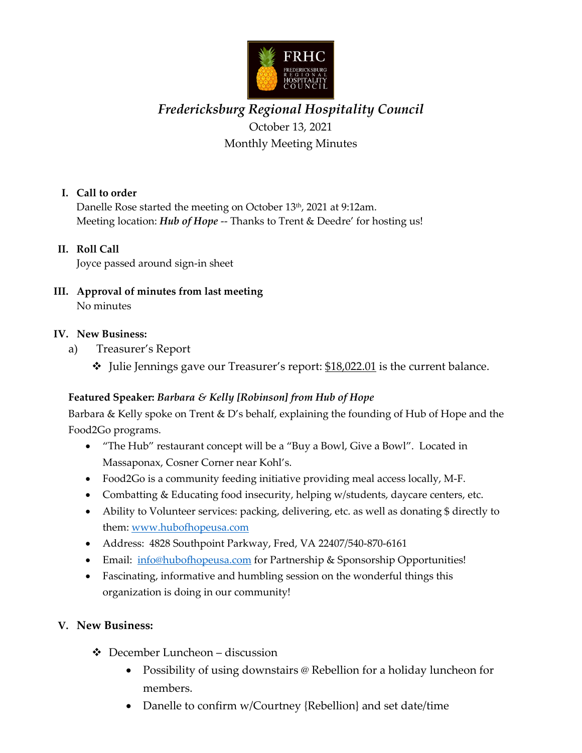

# *Fredericksburg Regional Hospitality Council* October 13, 2021 Monthly Meeting Minutes

## **I. Call to order**

Danelle Rose started the meeting on October 13<sup>th</sup>, 2021 at 9:12am. Meeting location: *Hub of Hope* -- Thanks to Trent & Deedre' for hosting us!

#### **II. Roll Call**

Joyce passed around sign-in sheet

**III. Approval of minutes from last meeting** No minutes

#### **IV. New Business:**

- a) Treasurer's Report
	- Julie Jennings gave our Treasurer's report: \$18,022.01 is the current balance.

#### **Featured Speaker:** *Barbara & Kelly [Robinson] from Hub of Hope*

Barbara & Kelly spoke on Trent & D's behalf, explaining the founding of Hub of Hope and the Food2Go programs.

- "The Hub" restaurant concept will be a "Buy a Bowl, Give a Bowl". Located in Massaponax, Cosner Corner near Kohl's.
- Food2Go is a community feeding initiative providing meal access locally, M-F.
- Combatting & Educating food insecurity, helping w/students, daycare centers, etc.
- Ability to Volunteer services: packing, delivering, etc. as well as donating \$ directly to them: [www.hubofhopeusa.com](http://www.hubofhopeusa.com/)
- Address: 4828 Southpoint Parkway, Fred, VA 22407/540-870-6161
- Email: [info@hubofhopeusa.com](mailto:info@hubofhopeusa.com) for Partnership & Sponsorship Opportunities!
- Fascinating, informative and humbling session on the wonderful things this organization is doing in our community!

#### **V. New Business:**

- December Luncheon discussion
	- Possibility of using downstairs @ Rebellion for a holiday luncheon for members.
	- Danelle to confirm w/Courtney {Rebellion} and set date/time